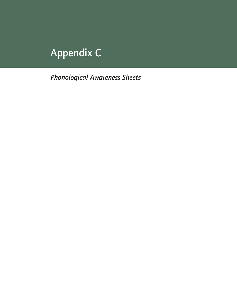# Appendix C

*Phonological Awareness Sheets*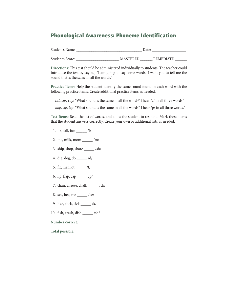### Phonological Awareness: Phoneme Identification

| Student's Name:  | Date: |                 |                  |
|------------------|-------|-----------------|------------------|
| Student's Score: |       | <b>MASTERED</b> | <b>REMEDIATE</b> |

**Directions:** This test should be administered individually to students. The teacher could introduce the test by saying, "I am going to say some words; I want you to tell me the sound that is the same in all the words."

**Practice Items:** Help the student identify the same sound found in each word with the following practice items. Create additional practice items as needed.

*cat*, *car*, *cap*: "What sound is the same in all the words? I hear /c/ in all three words."

*hop*, *sip*, *lap*: "What sound is the same in all the words? I hear /p/ in all three words."

**Test Items:** Read the list of words, and allow the student to respond. Mark those items that the student answers correctly. Create your own or additional lists as needed.

- 1. fix, fall, fun \_\_\_\_\_ /f/
- 2. me, milk, mom \_\_\_\_\_ /m/
- 3. ship, shop, share \_\_\_\_\_ /sh/
- 4. dig, dog, do \_\_\_\_\_ /d/
- 5. fit, mat, lot \_\_\_\_\_ /t/
- 6. lip, flap, cap  $/p/$
- 7. chair, cheese, chalk \_\_\_\_\_ /ch/
- 8. see, bee, me \_\_\_\_\_ /ee/
- 9. like, click, sick \_\_\_\_\_ /k/
- 10. fish, crash, dish \_\_\_\_\_ /sh/
- **Number correct: \_\_\_\_\_\_\_\_\_**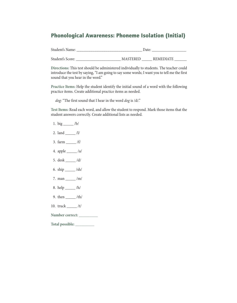# Phonological Awareness: Phoneme Isolation (Initial)

| Student's Name:  | Date:           |  |           |  |
|------------------|-----------------|--|-----------|--|
|                  |                 |  |           |  |
| Student's Score: | <b>MASTERED</b> |  | REMEDIATE |  |

**Directions:** This test should be administered individually to students. The teacher could introduce the test by saying, "I am going to say some words; I want you to tell me the first sound that you hear in the word."

**Practice Items:** Help the student identify the initial sound of a word with the following practice items. Create additional practice items as needed.

*dog*: "The first sound that I hear in the word *dog* is /d/."

**Test Items:** Read each word, and allow the student to respond. Mark those items that the student answers correctly. Create additional lists as needed.

- 1. big \_\_\_\_\_ /b/
- 2. land \_\_\_\_\_ /l/
- 3. farm \_\_\_\_\_ /f/
- 4. apple \_\_\_\_\_ /a/
- 5. desk \_\_\_\_\_ /d/
- 6. ship \_\_\_\_\_ /sh/
- 7. man \_\_\_\_\_ /m/
- 8. help \_\_\_\_\_ /h/
- 9. then \_\_\_\_\_ /th/
- 10. truck \_\_\_\_\_ /t/
- **Number correct: \_\_\_\_\_\_\_\_\_**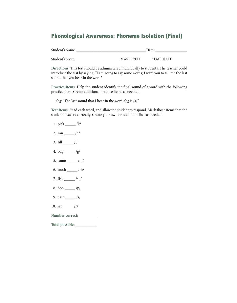# Phonological Awareness: Phoneme Isolation (Final)

| Student's Name:  | Date:                               |  |  |
|------------------|-------------------------------------|--|--|
|                  |                                     |  |  |
| Student's Score: | <b>MASTERED</b><br><b>REMEDIATE</b> |  |  |

**Directions:** This test should be administered individually to students. The teacher could introduce the test by saying, "I am going to say some words; I want you to tell me the last sound that you hear in the word."

**Practice Items:** Help the student identify the final sound of a word with the following practice item. Create additional practice items as needed.

*dog*: "The last sound that I hear in the word *dog* is /g/."

**Test Items:** Read each word, and allow the student to respond. Mark those items that the student answers correctly. Create your own or additional lists as needed.

- 1. pick \_\_\_\_\_ /k/
- 2. ran  $_{20}$  /n/
- 3.  $fill \_\_$ /l/
- 4. bug  $\frac{1}{g}$
- 5. same \_\_\_\_\_ /m/
- 6. tooth \_\_\_\_\_ /th/
- 7. fish \_\_\_\_\_ /sh/
- 8. hop \_\_\_\_\_ /p/
- 9. case \_\_\_\_\_ /s/
- 10. jar \_\_\_\_\_ /r/
- **Number correct: \_\_\_\_\_\_\_\_\_**
- **Total possible: \_\_\_\_\_\_\_\_\_\_**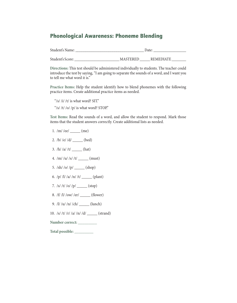# Phonological Awareness: Phoneme Blending

| Student's Name:  | Date:                               |  |  |
|------------------|-------------------------------------|--|--|
| Student's Score: | <b>REMEDIATE</b><br><b>MASTERED</b> |  |  |

**Directions:** This test should be administered individually to students. The teacher could introduce the test by saying, "I am going to separate the sounds of a word, and I want you to tell me what word it is."

**Practice Items:** Help the student identify how to blend phonemes with the following practice items. Create additional practice items as needed.

"/s/ /i/ /t/ is what word? SIT." "/s//t//o//p/ is what word? STOP."

**Test Items:** Read the sounds of a word, and allow the student to respond. Mark those items that the student answers correctly. Create additional lists as needed.

- 1.  $/m/$  /ee $/$  (me)
- 2. /b/ /e/ /d/ \_\_\_\_\_ (bed)
- 3.  $/h/ \frac{a}{t}$   $(t)$   $(hat)$
- 4.  $/m / \frac{u}{s} / t / \frac{1}{t}$  (must)
- 5. /sh/ /o/ /p/ \_\_\_\_\_ (shop)
- 6.  $/p/ \sqrt{l} / a / \sqrt{l} / t /$  \_\_\_\_\_\_\_ (plant)
- 7. /s/ /t/ /o/ /p/ \_\_\_\_\_ (stop)
- 8. /f/ /l/ /ow/ /er/ \_\_\_\_\_\_ (flower)
- 9. /l/ /u/ /n/ /ch/ \_\_\_\_\_ (lunch)
- 10. /s/ /t/ /r/ /a/ /n/ /d/ \_\_\_\_\_ (strand)

**Number correct: \_\_\_\_\_\_\_\_\_**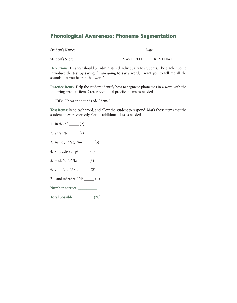#### Phonological Awareness: Phoneme Segmentation

| Student's Name:  | Date:           |                  |  |
|------------------|-----------------|------------------|--|
|                  |                 |                  |  |
| Student's Score: | <b>MASTERED</b> | <b>REMEDIATE</b> |  |

**Directions:** This test should be administered individually to students. The teacher could introduce the test by saying, "I am going to say a word; I want you to tell me all the sounds that you hear in that word."

**Practice Items:** Help the student identify how to segment phonemes in a word with the following practice item. Create additional practice items as needed.

"DIM. I hear the sounds /d/ /i/ /m/."

**Test Items:** Read each word, and allow the student to respond. Mark those items that the student answers correctly. Create additional lists as needed.

- 1. in  $\frac{1}{\ln \frac{1}{\ln 2}}$  (2)
- 2. at  $|a|/|t|$  \_\_\_\_\_\_\_\_ (2)
- 3. name  $/n / |ae / /m /$  \_\_\_\_\_\_ (3)
- 4. ship  $\frac{|b|}{\ln |c|}$  (3)
- 5. sock /s/ /o/ /k/ \_\_\_\_\_ (3)
- 6. chin  $/ \frac{c \ln \frac{1}{i}}{ \ln \frac{1}{i}}$  (3)
- 7. sand /s/ /a/ /n/ /d/ \_\_\_\_\_ (4)
- **Number correct: \_\_\_\_\_\_\_\_\_**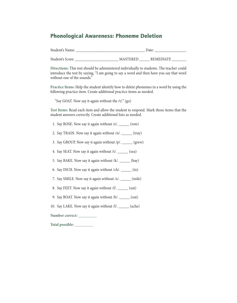### Phonological Awareness: Phoneme Deletion

| Student's Name:  | Date:           |                  |  |
|------------------|-----------------|------------------|--|
| Student's Score: | <b>MASTERED</b> | <b>REMEDIATE</b> |  |

**Directions:** This test should be administered individually to students. The teacher could introduce the test by saying, "I am going to say a word and then have you say that word without one of the sounds."

**Practice Items:** Help the student identify how to delete phonemes in a word by using the following practice item. Create additional practice items as needed.

"Say GOAT. Now say it again without the /t/." (go)

**Test Items:** Read each item and allow the student to respond. Mark those items that the student answers correctly. Create additional lists as needed.

- 1. Say ROSE. Now say it again without /z/. \_\_\_\_\_ (row)
- 2. Say TRAIN. Now say it again without /n/. \_\_\_\_\_ (tray)
- 3. Say GROUP. Now say it again without /p/. \_\_\_\_\_ (grew)
- 4. Say SEAT. Now say it again without /t/. \_\_\_\_\_ (sea)
- 5. Say BAKE. Now say it again without /k/. \_\_\_\_\_ (bay)
- 6. Say INCH. Now say it again without /ch/. \_\_\_\_\_ (in)
- 7. Say SMILE. Now say it again without /s/. \_\_\_\_\_ (mile)
- 8. Say FEET. Now say it again without /f/. \_\_\_\_\_ (eat)
- 9. Say BOAT. Now say it again without /b/. \_\_\_\_\_ (oat)
- 10. Say LAKE. Now say it again without /l/. \_\_\_\_\_ (ache)

**Number correct: \_\_\_\_\_\_\_\_\_**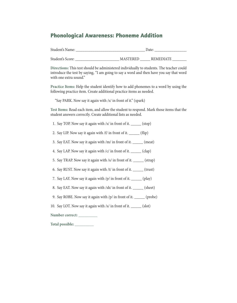# Phonological Awareness: Phoneme Addition

| Student's Name:  | Date:           |                  |  |
|------------------|-----------------|------------------|--|
|                  |                 |                  |  |
| Student's Score: | <b>MASTERED</b> | <b>REMEDIATE</b> |  |

**Directions:** This test should be administered individually to students. The teacher could introduce the test by saying, "I am going to say a word and then have you say that word with one extra sound."

**Practice Items:** Help the student identify how to add phonemes to a word by using the following practice item. Create additional practice items as needed.

"Say PARK. Now say it again with /s/ in front of it." (spark)

**Test Items:** Read each item, and allow the student to respond. Mark those items that the student answers correctly. Create additional lists as needed.

- 1. Say TOP. Now say it again with /s/ in front of it. \_\_\_\_\_\_ (stop)
- 2. Say LIP. Now say it again with /f/ in front of it. \_\_\_\_\_ (flip)
- 3. Say EAT. Now say it again with /m/ in front of it. \_\_\_\_\_ (meat)
- 4. Say LAP. Now say it again with  $\frac{|c|}{\ln r}$  front of it. \_\_\_\_\_\_\_ (clap)
- 5. Say TRAP. Now say it again with /s/ in front of it. \_\_\_\_\_ (strap)
- 6. Say RUST. Now say it again with /t/ in front of it. \_\_\_\_\_ (trust)
- 7. Say LAY. Now say it again with /p/ in front of it. \_\_\_\_\_ (play)
- 8. Say EAT. Now say it again with /sh/ in front of it. \_\_\_\_\_ (sheet)
- 9. Say ROBE. Now say it again with /p/ in front of it. \_\_\_\_\_ (probe)
- 10. Say LOT. Now say it again with /s/ in front of it. \_\_\_\_\_\_ (slot)

**Number correct: \_\_\_\_\_\_\_\_\_**